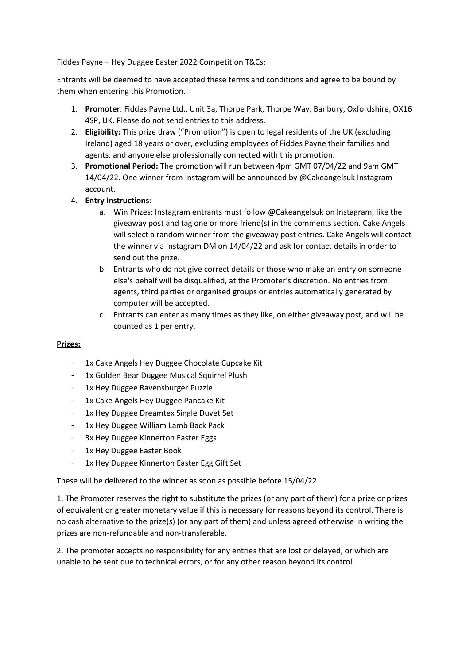Fiddes Payne – Hey Duggee Easter 2022 Competition T&Cs:

Entrants will be deemed to have accepted these terms and conditions and agree to be bound by them when entering this Promotion.

- 1. **Promoter**: Fiddes Payne Ltd., Unit 3a, Thorpe Park, Thorpe Way, Banbury, Oxfordshire, OX16 4SP, UK. Please do not send entries to this address.
- 2. **Eligibility:** This prize draw ("Promotion") is open to legal residents of the UK (excluding Ireland) aged 18 years or over, excluding employees of Fiddes Payne their families and agents, and anyone else professionally connected with this promotion.
- 3. **Promotional Period:** The promotion will run between 4pm GMT 07/04/22 and 9am GMT 14/04/22. One winner from Instagram will be announced by @Cakeangelsuk Instagram account.
- 4. **Entry Instructions**:
	- a. Win Prizes: Instagram entrants must follow @Cakeangelsuk on Instagram, like the giveaway post and tag one or more friend(s) in the comments section. Cake Angels will select a random winner from the giveaway post entries. Cake Angels will contact the winner via Instagram DM on 14/04/22 and ask for contact details in order to send out the prize.
	- b. Entrants who do not give correct details or those who make an entry on someone else's behalf will be disqualified, at the Promoter's discretion. No entries from agents, third parties or organised groups or entries automatically generated by computer will be accepted.
	- c. Entrants can enter as many times as they like, on either giveaway post, and will be counted as 1 per entry.

## **Prizes:**

- 1x Cake Angels Hey Duggee Chocolate Cupcake Kit
- 1x Golden Bear Duggee Musical Squirrel Plush
- 1x Hey Duggee Ravensburger Puzzle
- 1x Cake Angels Hey Duggee Pancake Kit
- 1x Hey Duggee Dreamtex Single Duvet Set
- 1x Hey Duggee William Lamb Back Pack
- 3x Hey Duggee Kinnerton Easter Eggs
- 1x Hey Duggee Easter Book
- 1x Hey Duggee Kinnerton Easter Egg Gift Set

These will be delivered to the winner as soon as possible before 15/04/22.

1. The Promoter reserves the right to substitute the prizes (or any part of them) for a prize or prizes of equivalent or greater monetary value if this is necessary for reasons beyond its control. There is no cash alternative to the prize(s) (or any part of them) and unless agreed otherwise in writing the prizes are non-refundable and non-transferable.

2. The promoter accepts no responsibility for any entries that are lost or delayed, or which are unable to be sent due to technical errors, or for any other reason beyond its control.